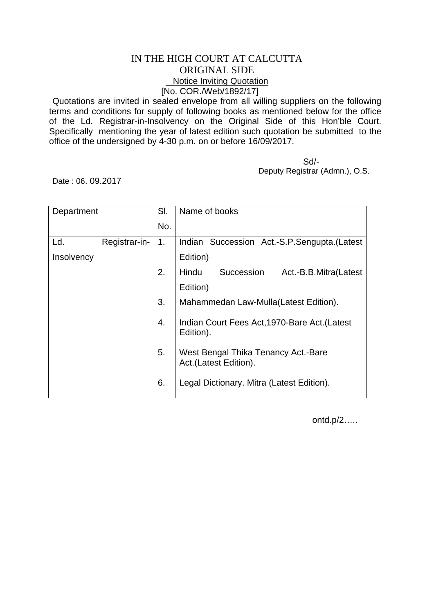## IN THE HIGH COURT AT CALCUTTA ORIGINAL SIDE Notice Inviting Quotation [No. COR./Web/1892/17]

Quotations are invited in sealed envelope from all willing suppliers on the following terms and conditions for supply of following books as mentioned below for the office of the Ld. Registrar-in-Insolvency on the Original Side of this Hon'ble Court. Specifically mentioning the year of latest edition such quotation be submitted to the office of the undersigned by 4-30 p.m. on or before 16/09/2017.

 Sd/- Deputy Registrar (Admn.), O.S.

Date : 06. 09.2017

| Department |               | SI. | Name of books                                                |
|------------|---------------|-----|--------------------------------------------------------------|
|            |               | No. |                                                              |
| Ld.        | Registrar-in- | 1.  | Indian Succession Act.-S.P.Sengupta. (Latest                 |
| Insolvency |               |     | Edition)                                                     |
|            |               | 2.  | Succession<br>Hindu<br>Act.-B.B.Mitra(Latest                 |
|            |               |     | Edition)                                                     |
|            |               | 3.  | Mahammedan Law-Mulla(Latest Edition).                        |
|            |               | 4.  | Indian Court Fees Act, 1970-Bare Act. (Latest<br>Edition).   |
|            |               | 5.  | West Bengal Thika Tenancy Act.-Bare<br>Act.(Latest Edition). |
|            |               | 6.  | Legal Dictionary. Mitra (Latest Edition).                    |

ontd.p/2…..